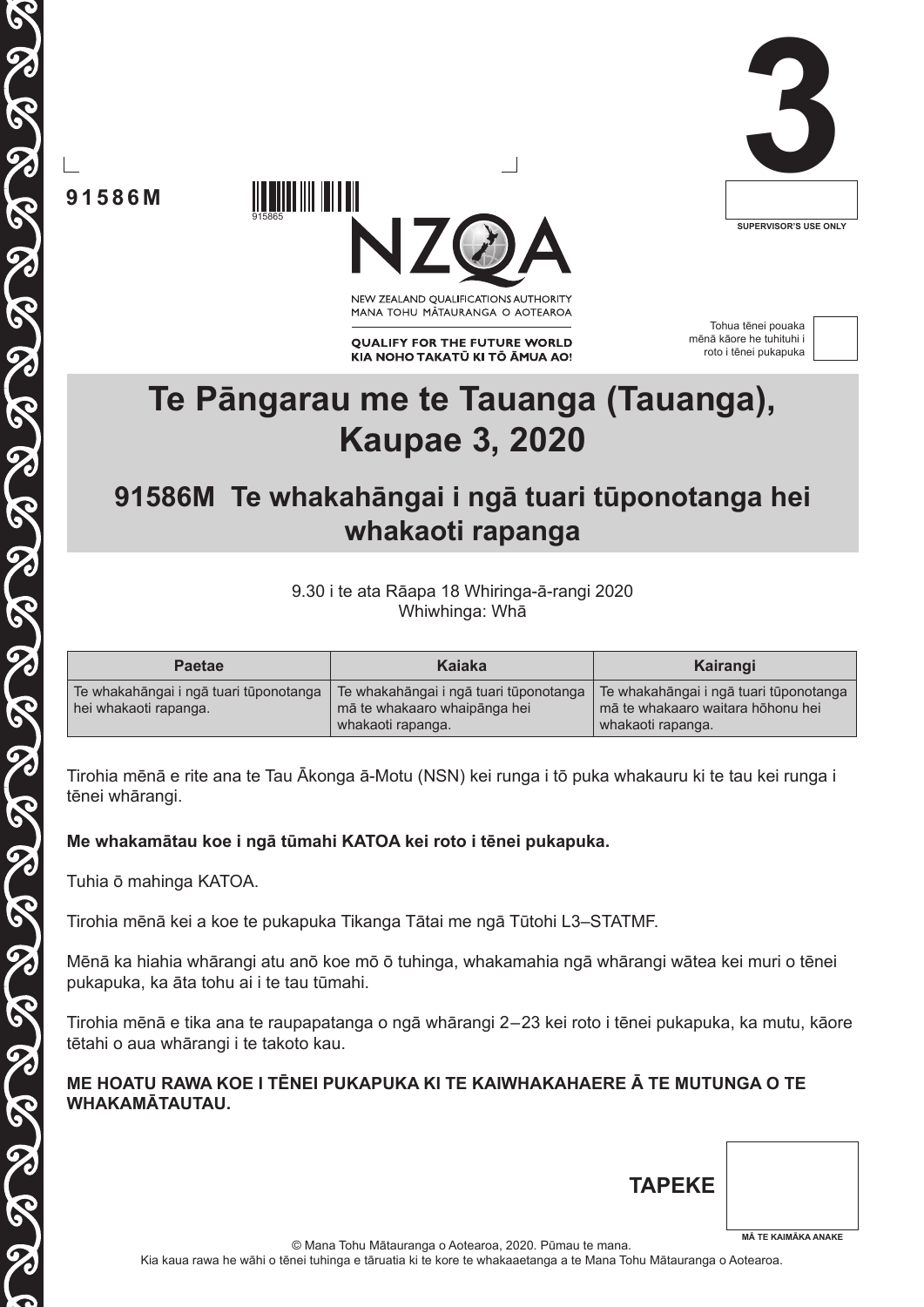



915865

**91586M**

NEW ZEALAND OUALIFICATIONS AUTHORITY MANA TOHU MĀTAURANGA O AOTEAROA

**QUALIFY FOR THE FUTURE WORLD** KIA NOHO TAKATŪ KI TŌ ĀMUA AO!

Tohua tēnei pouaka mēnā kāore he tuhituhi i roto i tēnei pukapuka



## **Te Pāngarau me te Tauanga (Tauanga), Kaupae 3, 2020**

## **91586M Te whakahāngai i ngā tuari tūponotanga hei whakaoti rapanga**

9.30 i te ata Rāapa 18 Whiringa-ā-rangi 2020 Whiwhinga: Whā

| <b>Paetae</b>                                                   | Kaiaka                                                                                      | Kairangi                                                                                         |
|-----------------------------------------------------------------|---------------------------------------------------------------------------------------------|--------------------------------------------------------------------------------------------------|
| Te whakahāngai i ngā tuari tūponotanga<br>hei whakaoti rapanga. | Te whakahāngai i ngā tuari tūponotanga<br>mā te whakaaro whaipānga hei<br>whakaoti rapanga. | Te whakahāngai i ngā tuari tūponotanga<br>mā te whakaaro waitara hōhonu hei<br>whakaoti rapanga. |

Tirohia mēnā e rite ana te Tau Ākonga ā-Motu (NSN) kei runga i tō puka whakauru ki te tau kei runga i tēnei whārangi.

**Me whakamātau koe i ngā tūmahi KATOA kei roto i tēnei pukapuka.**

Tuhia ō mahinga KATOA.

Tirohia mēnā kei a koe te pukapuka Tikanga Tātai me ngā Tūtohi L3–STATMF.

Mēnā ka hiahia whārangi atu anō koe mō ō tuhinga, whakamahia ngā whārangi wātea kei muri o tēnei pukapuka, ka āta tohu ai i te tau tūmahi.

Tirohia mēnā e tika ana te raupapatanga o ngā whārangi 2 – 23 kei roto i tēnei pukapuka, ka mutu, kāore tētahi o aua whārangi i te takoto kau.

#### **ME HOATU RAWA KOE I TĒNEI PUKAPUKA KI TE KAIWHAKAHAERE Ā TE MUTUNGA O TE WHAKAMĀTAUTAU.**

**TAPEKE**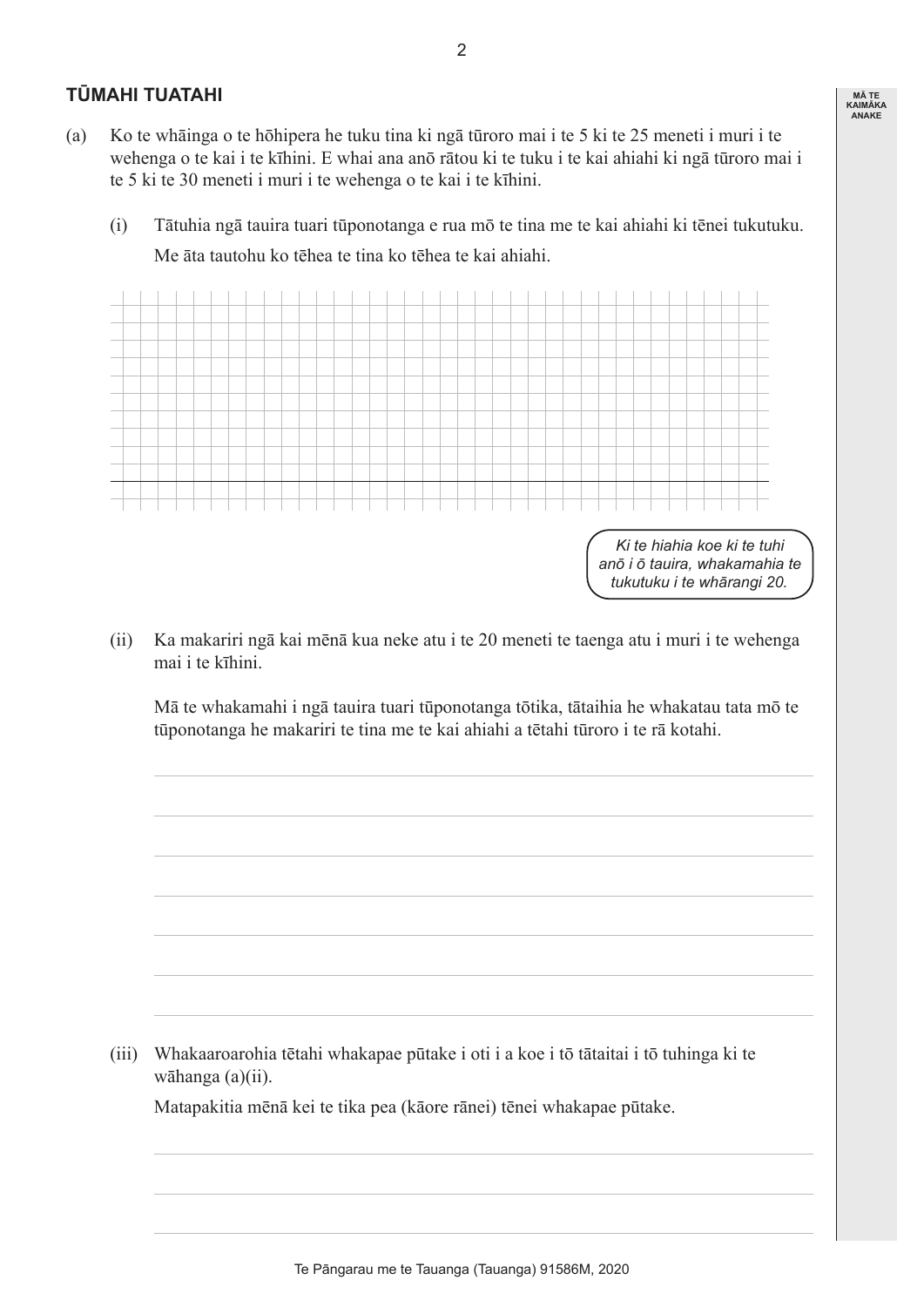#### **TŪMAHI TUATAHI**

- (a) Ko te whāinga o te hōhipera he tuku tina ki ngā tūroro mai i te 5 ki te 25 meneti i muri i te wehenga o te kai i te kīhini. E whai ana anō rātou ki te tuku i te kai ahiahi ki ngā tūroro mai i te 5 ki te 30 meneti i muri i te wehenga o te kai i te kīhini.
	- (i) Tātuhia ngā tauira tuari tūponotanga e rua mō te tina me te kai ahiahi ki tēnei tukutuku. Me āta tautohu ko tēhea te tina ko tēhea te kai ahiahi.



 (ii) Ka makariri ngā kai mēnā kua neke atu i te 20 meneti te taenga atu i muri i te wehenga mai i te kīhini.

 Mā te whakamahi i ngā tauira tuari tūponotanga tōtika, tātaihia he whakatau tata mō te tūponotanga he makariri te tina me te kai ahiahi a tētahi tūroro i te rā kotahi.

 (iii) Whakaaroarohia tētahi whakapae pūtake i oti i a koe i tō tātaitai i tō tuhinga ki te wāhanga (a)(ii).

 Matapakitia mēnā kei te tika pea (kāore rānei) tēnei whakapae pūtake.

 $\mathfrak{p}$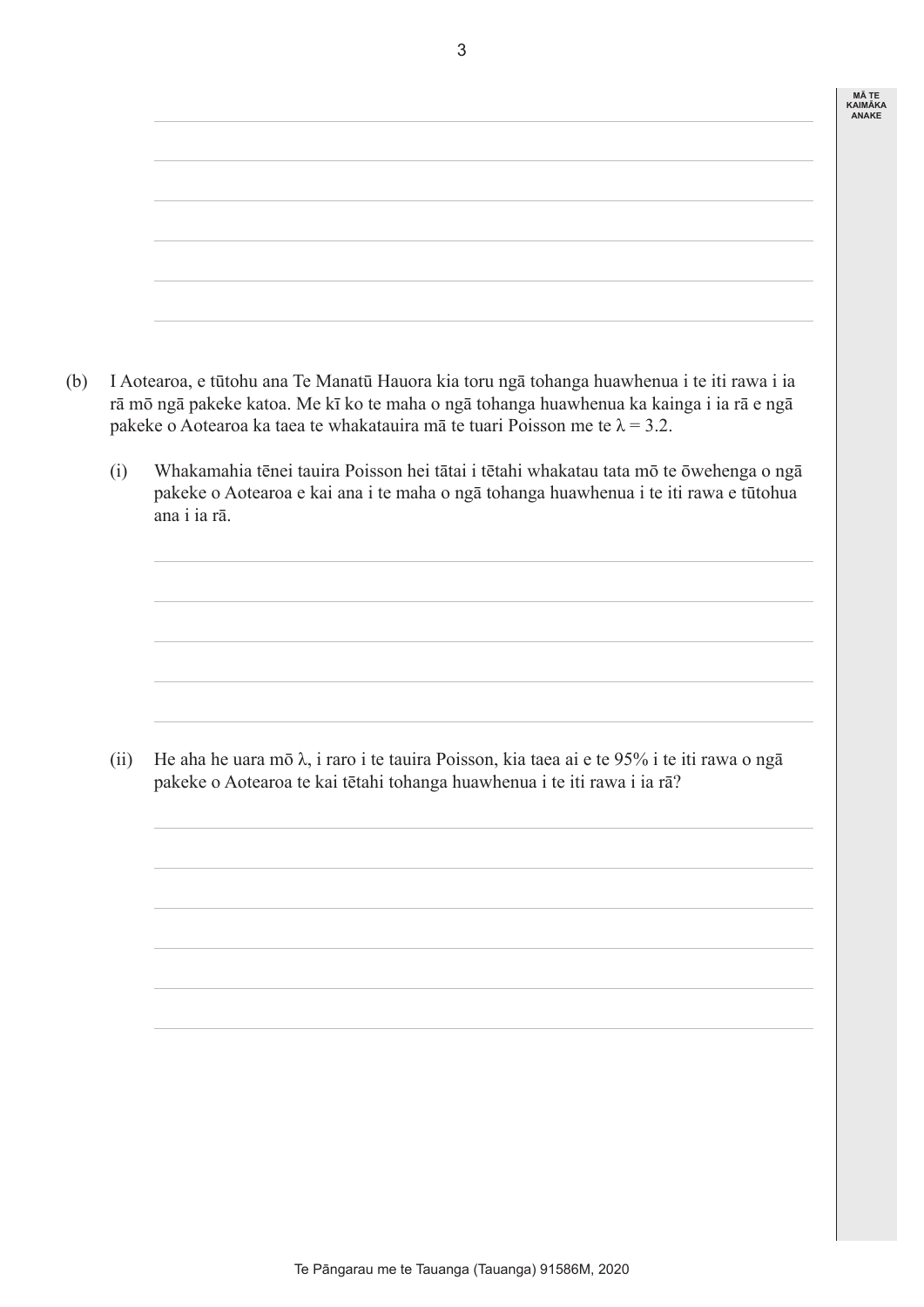| <b>MATE</b>    |
|----------------|
| <b>KAIMÄKA</b> |
| <b>ANAKE</b>   |
|                |

- (b) I Aotearoa, e tūtohu ana Te Manatū Hauora kia toru ngā tohanga huawhenua i te iti rawa i ia rā mō ngā pakeke katoa. Me kī ko te maha o ngā tohanga huawhenua ka kainga i ia rā e ngā pakeke o Aotearoa ka taea te whakatauira mā te tuari Poisson me te  $\lambda = 3.2$ .
	- (i) Whakamahia tēnei tauira Poisson hei tātai i tētahi whakatau tata mō te ōwehenga o ngā pakeke o Aotearoa e kai ana i te maha o ngā tohanga huawhenua i te iti rawa e tūtohua ana i ia rā.

(ii) He aha he uara mō  $\lambda$ , i raro i te tauira Poisson, kia taea ai e te 95% i te iti rawa o ngā pakeke o Aotearoa te kai tētahi tohanga huawhenua i te iti rawa i ia rā?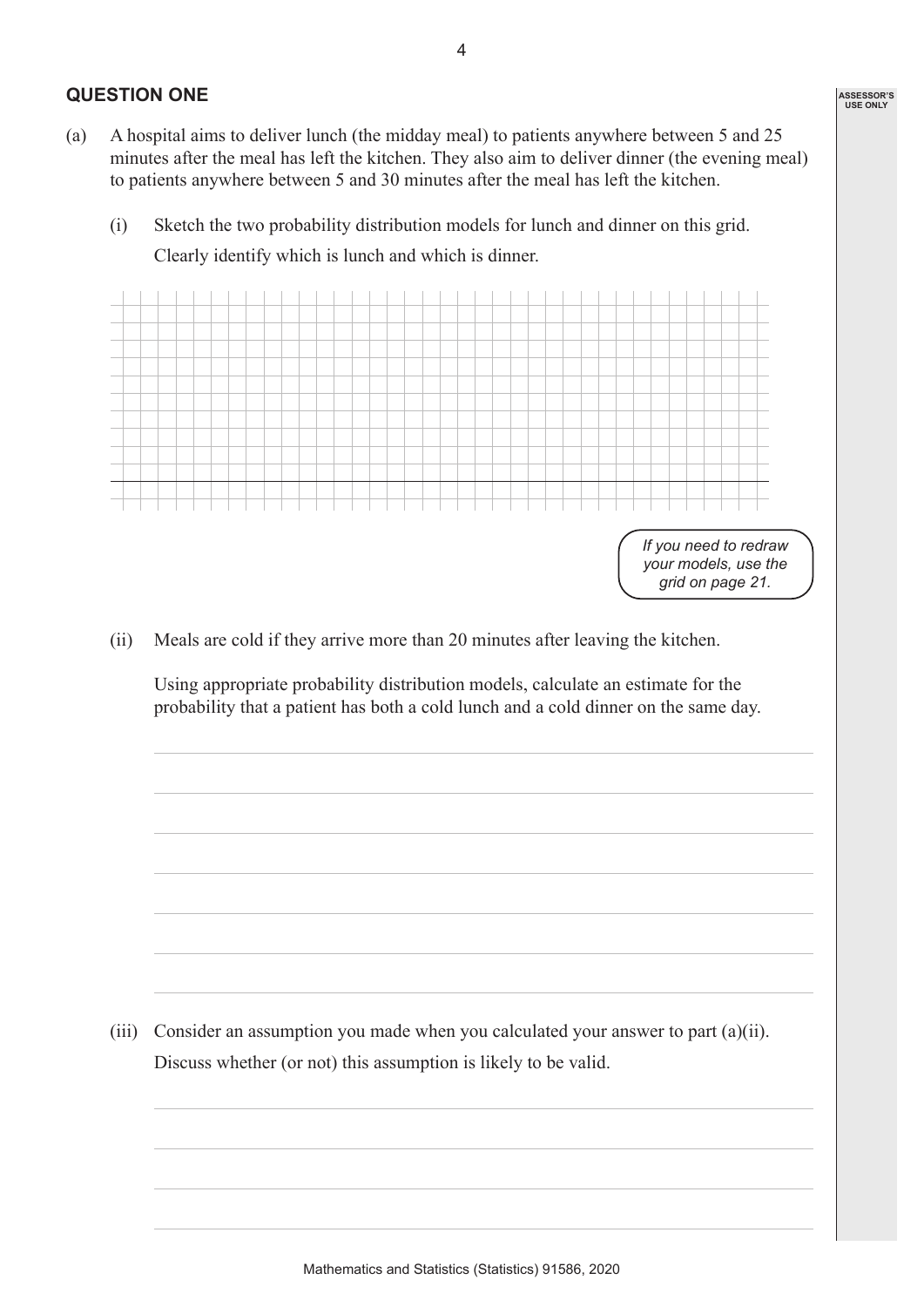#### **QUESTION ONE**

- (a) A hospital aims to deliver lunch (the midday meal) to patients anywhere between 5 and 25 minutes after the meal has left the kitchen. They also aim to deliver dinner (the evening meal) to patients anywhere between 5 and 30 minutes after the meal has left the kitchen.
	- (i) Sketch the two probability distribution models for lunch and dinner on this grid. Clearly identify which is lunch and which is dinner.



 (ii) Meals are cold if they arrive more than 20 minutes after leaving the kitchen.

 Using appropriate probability distribution models, calculate an estimate for the probability that a patient has both a cold lunch and a cold dinner on the same day.

(iii) Consider an assumption you made when you calculated your answer to part  $(a)(ii)$ . Discuss whether (or not) this assumption is likely to be valid.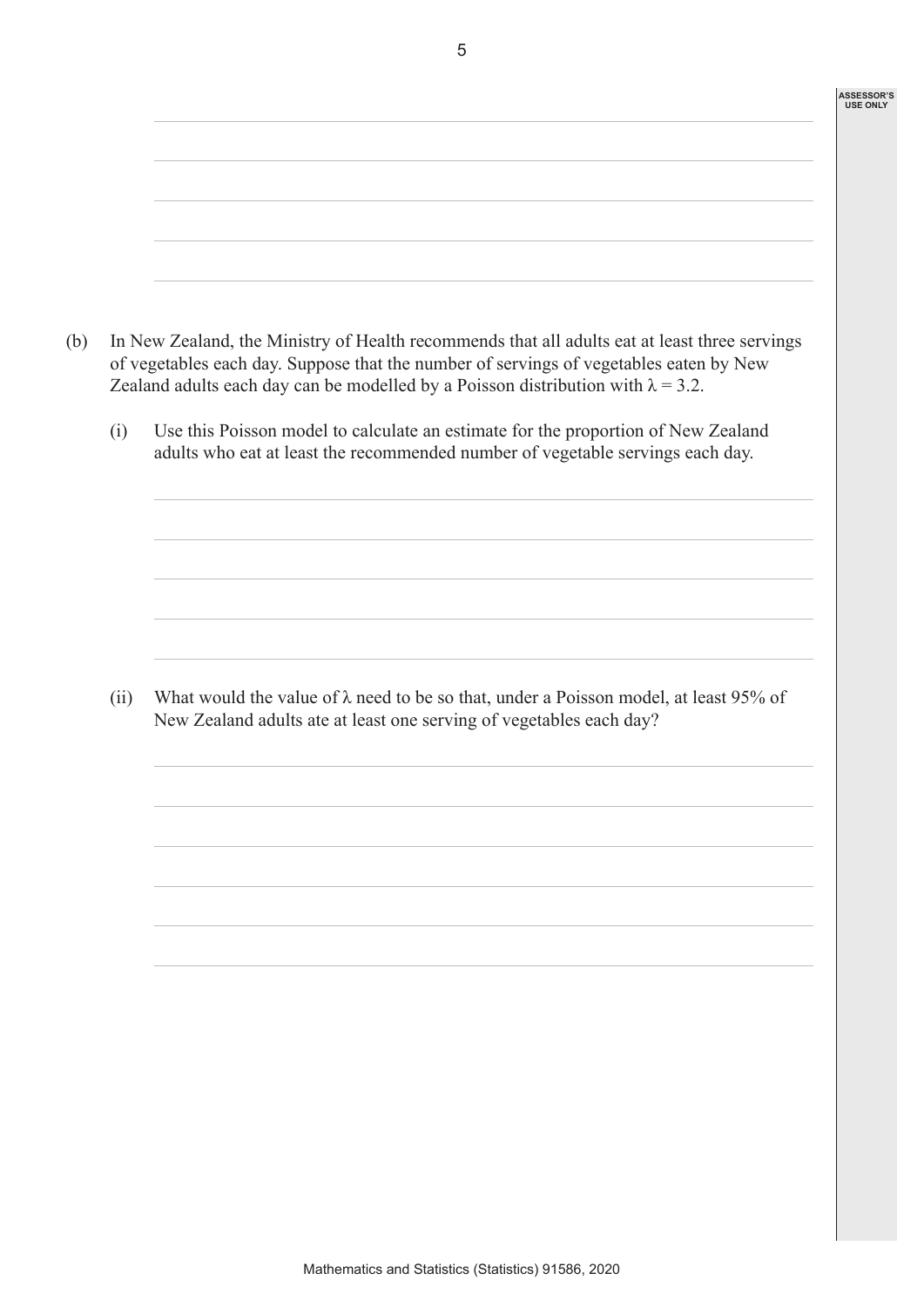|      | In New Zealand, the Ministry of Health recommends that all adults eat at least three servings<br>of vegetables each day. Suppose that the number of servings of vegetables eaten by New<br>Zealand adults each day can be modelled by a Poisson distribution with $\lambda = 3.2$ . |
|------|-------------------------------------------------------------------------------------------------------------------------------------------------------------------------------------------------------------------------------------------------------------------------------------|
| (i)  | Use this Poisson model to calculate an estimate for the proportion of New Zealand<br>adults who eat at least the recommended number of vegetable servings each day.                                                                                                                 |
|      |                                                                                                                                                                                                                                                                                     |
|      |                                                                                                                                                                                                                                                                                     |
| (ii) | What would the value of $\lambda$ need to be so that, under a Poisson model, at least 95% of<br>New Zealand adults ate at least one serving of vegetables each day?                                                                                                                 |
|      |                                                                                                                                                                                                                                                                                     |
|      |                                                                                                                                                                                                                                                                                     |
|      |                                                                                                                                                                                                                                                                                     |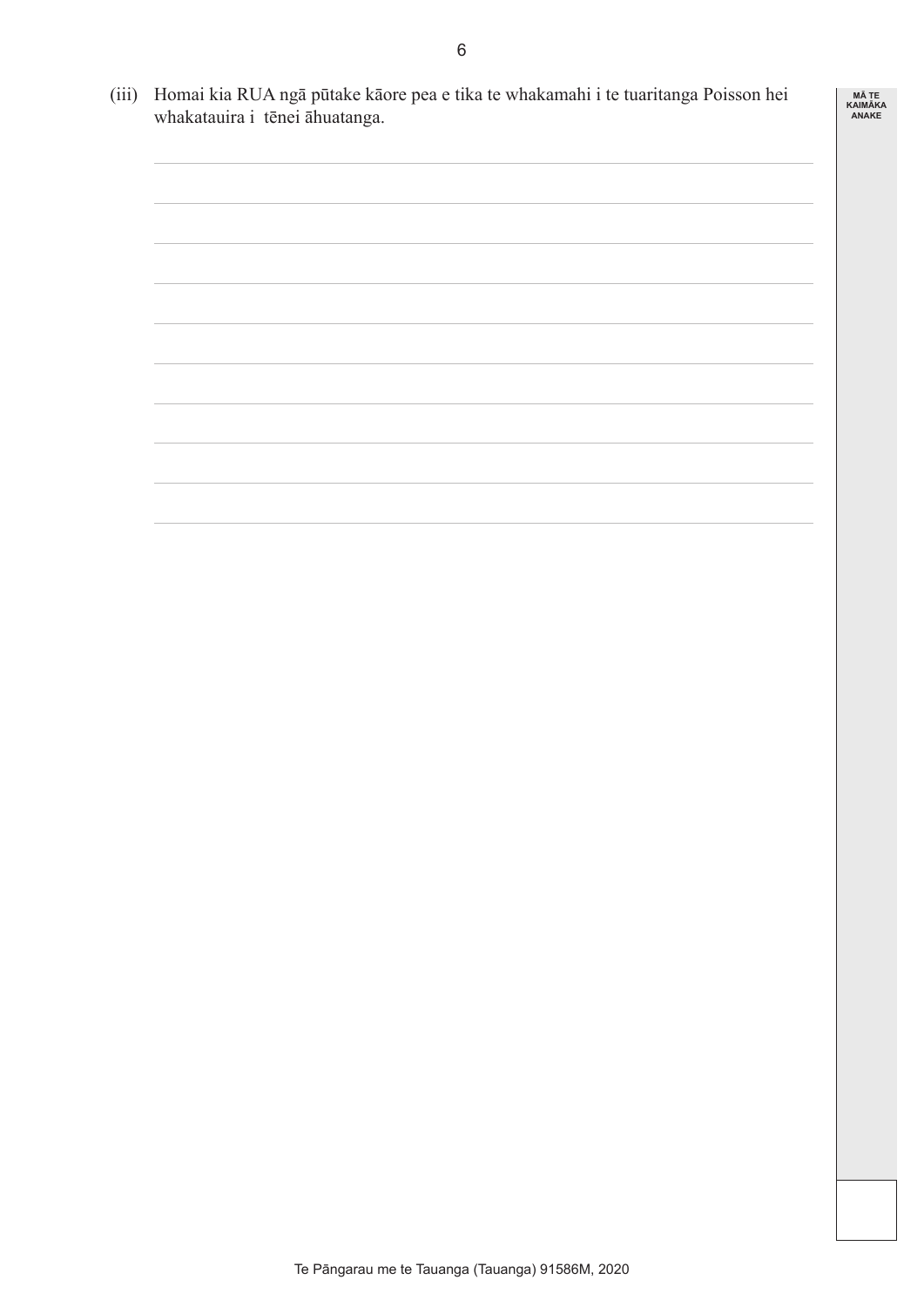(iii) Homai kia RUA ngā pūtake kāore pea e tika te whakamahi i te tuaritanga Poisson hei whakatauira i tēnei āhuatanga.

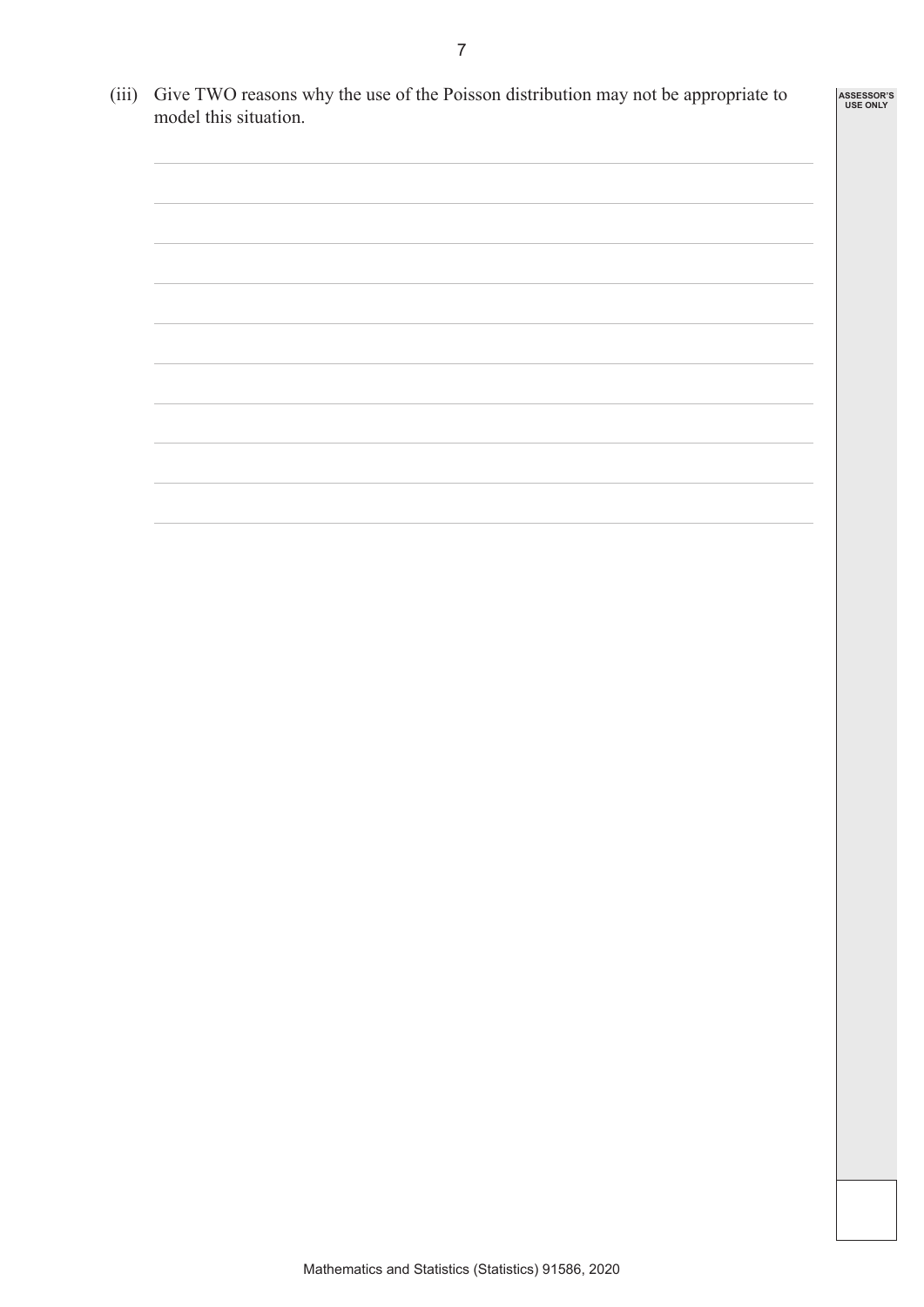(iii) Give TWO reasons why the use of the Poisson distribution may not be appropriate to

model this situation.

- -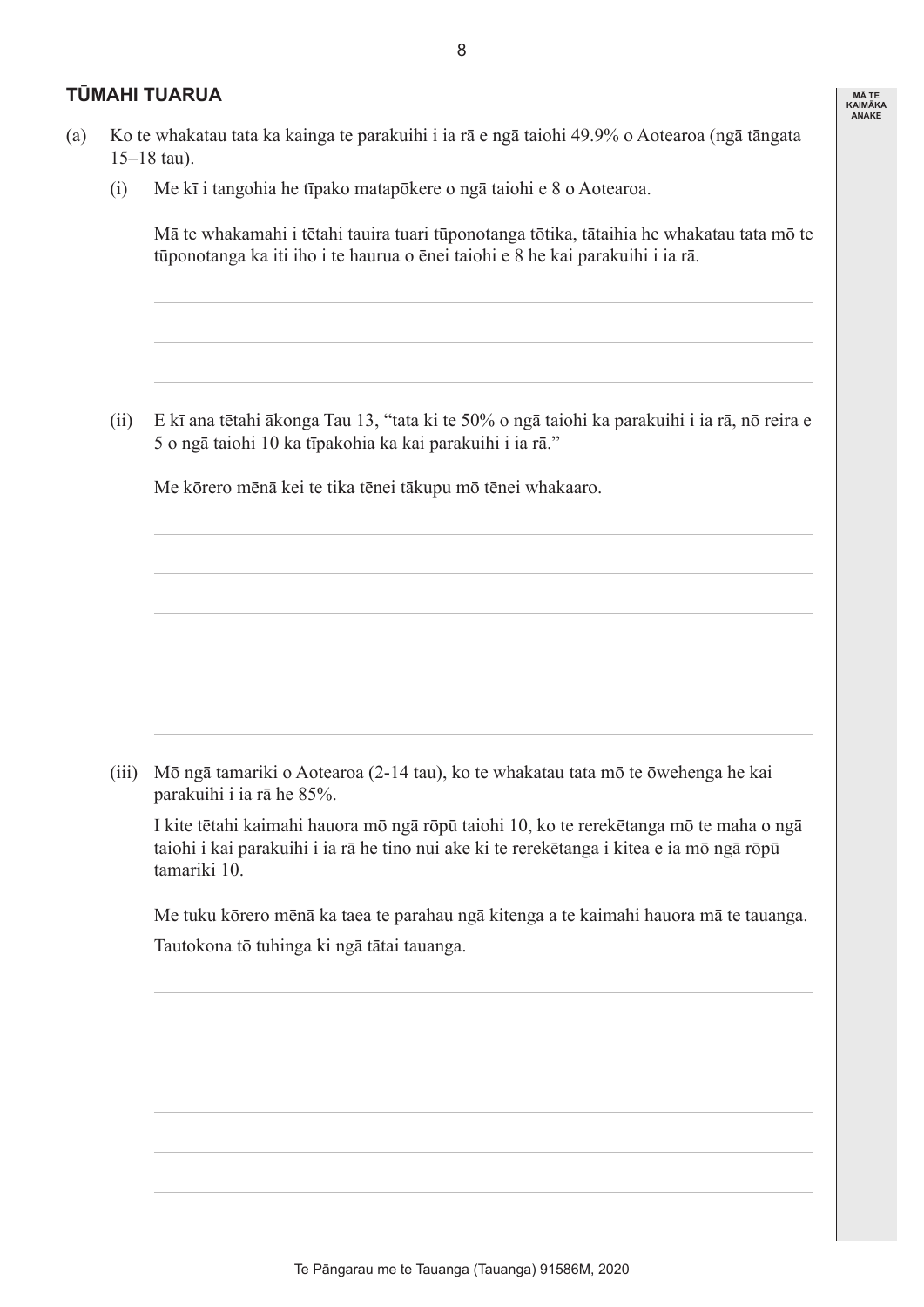#### **TŪMAHI TUARUA**

- (a) Ko te whakatau tata ka kainga te parakuihi i ia rā e ngā taiohi 49.9% o Aotearoa (ngā tāngata 15–18 tau).
	- (i) Me kī i tangohia he tīpako matapōkere o ngā taiohi e 8 o Aotearoa.

 Mā te whakamahi i tētahi tauira tuari tūponotanga tōtika, tātaihia he whakatau tata mō te tūponotanga ka iti iho i te haurua o ēnei taiohi e 8 he kai parakuihi i ia rā.

**MĀ TE KAIMĀKA ANAKE**

 (ii) E kī ana tētahi ākonga Tau 13, "tata ki te 50% o ngā taiohi ka parakuihi i ia rā, nō reira e 5 o ngā taiohi 10 ka tīpakohia ka kai parakuihi i ia rā."

 Me kōrero mēnā kei te tika tēnei tākupu mō tēnei whakaaro.

 (iii) Mō ngā tamariki o Aotearoa (2-14 tau), ko te whakatau tata mō te ōwehenga he kai parakuihi i ia rā he 85%.

 I kite tētahi kaimahi hauora mō ngā rōpū taiohi 10, ko te rerekētanga mō te maha o ngā taiohi i kai parakuihi i ia rā he tino nui ake ki te rerekētanga i kitea e ia mō ngā rōpū tamariki 10.

 Me tuku kōrero mēnā ka taea te parahau ngā kitenga a te kaimahi hauora mā te tauanga. Tautokona tō tuhinga ki ngā tātai tauanga.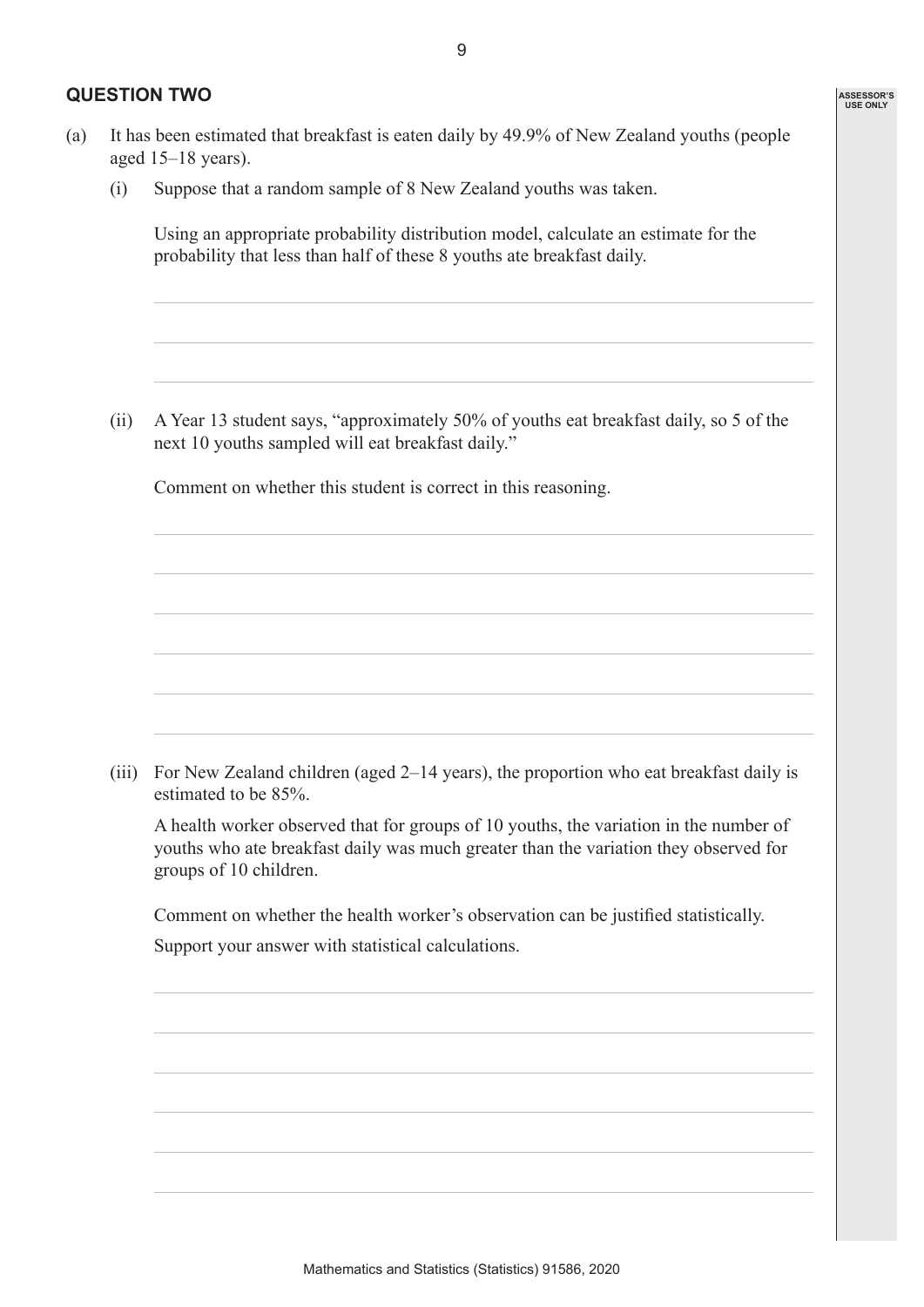#### **QUESTION TWO**

 (i) Suppose that a random sample of 8 New Zealand youths was taken.

 Using an appropriate probability distribution model, calculate an estimate for the probability that less than half of these 8 youths ate breakfast daily.

 (ii) A Year 13 student says, "approximately 50% of youths eat breakfast daily, so 5 of the next 10 youths sampled will eat breakfast daily."

 Comment on whether this student is correct in this reasoning.

 (iii) For New Zealand children (aged 2–14 years), the proportion who eat breakfast daily is estimated to be 85%.

 A health worker observed that for groups of 10 youths, the variation in the number of youths who ate breakfast daily was much greater than the variation they observed for groups of 10 children.

 Comment on whether the health worker's observation can be justified statistically.

 Support your answer with statistical calculations.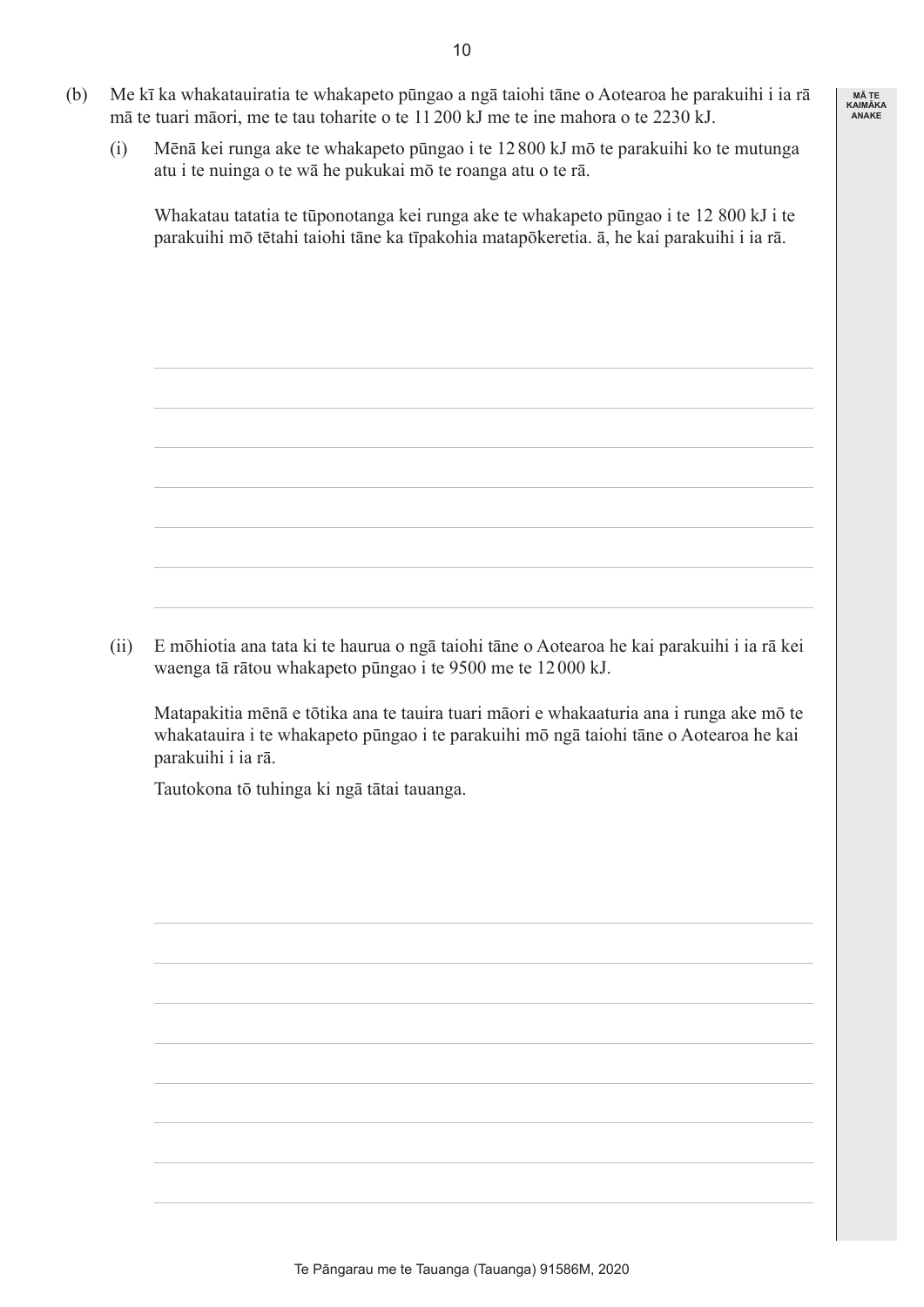- (b) Me kī ka whakatauiratia te whakapeto pūngao a ngā taiohi tāne o Aotearoa he parakuihi i ia rā mā te tuari māori, me te tau toharite o te 11200 kJ me te ine mahora o te 2230 kJ.
	- (i) Mēnā kei runga ake te whakapeto pūngao i te 12 800 kJ mō te parakuihi ko te mutunga atu i te nuinga o te wā he pukukai mō te roanga atu o te rā.

 Whakatau tatatia te tūponotanga kei runga ake te whakapeto pūngao i te 12 800 kJ i te parakuihi mō tētahi taiohi tāne ka tīpakohia matapōkeretia. ā, he kai parakuihi i ia rā.

 (ii) E mōhiotia ana tata ki te haurua o ngā taiohi tāne o Aotearoa he kai parakuihi i ia rā kei waenga tā rātou whakapeto pūngao i te 9500 me te 12000 kJ.

 Matapakitia mēnā e tōtika ana te tauira tuari māori e whakaaturia ana i runga ake mō te whakatauira i te whakapeto pūngao i te parakuihi mō ngā taiohi tāne o Aotearoa he kai parakuihi i ia rā.

 Tautokona tō tuhinga ki ngā tātai tauanga.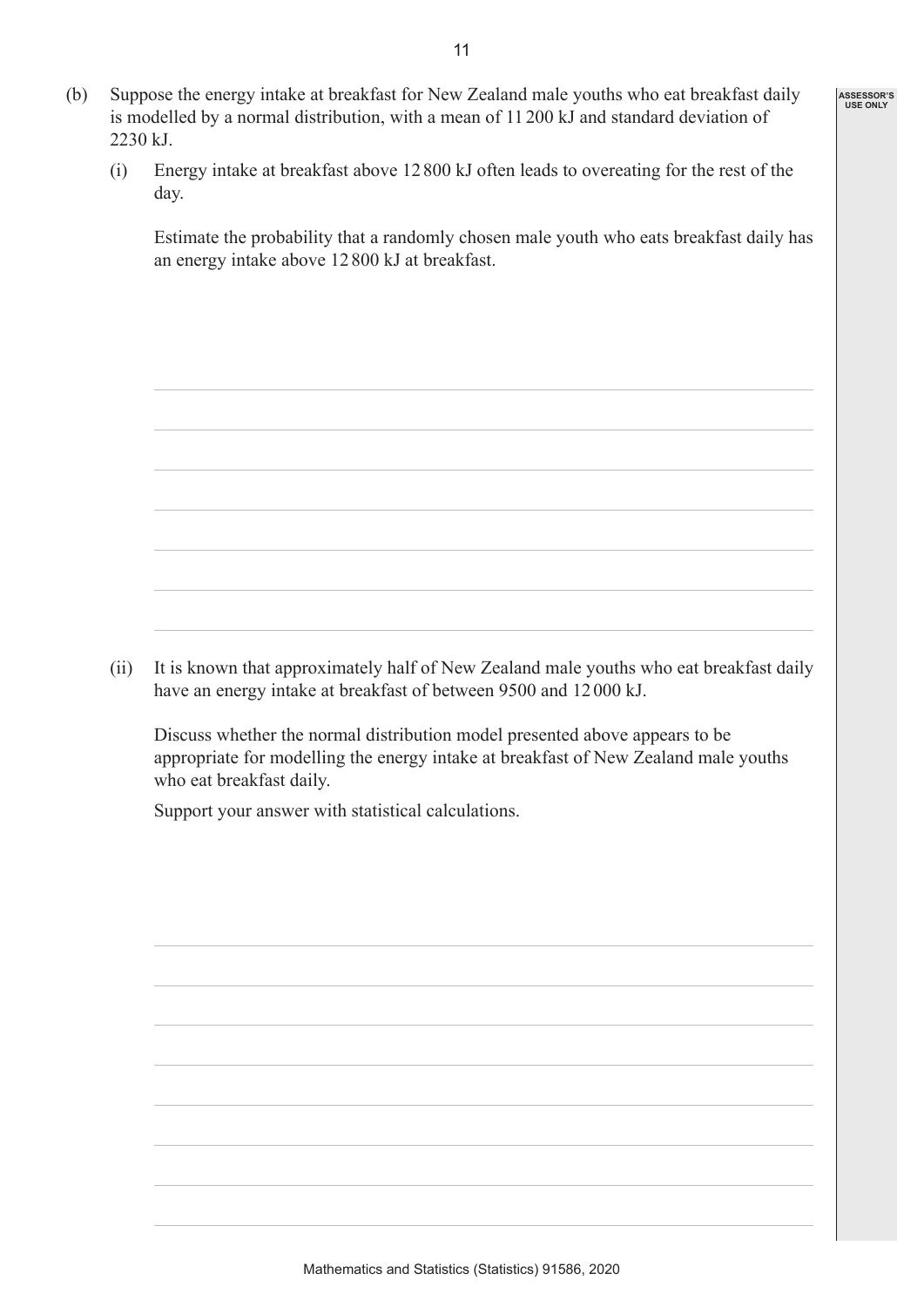- (b) Suppose the energy intake at breakfast for New Zealand male youths who eat breakfast daily is modelled by a normal distribution, with a mean of 11 200 kJ and standard deviation of 2230 kJ.
	- (i) Energy intake at breakfast above 12800 kJ often leads to overeating for the rest of the day.

 Estimate the probability that a randomly chosen male youth who eats breakfast daily has an energy intake above 12800 kJ at breakfast.

**ASSESSOR'S USE ONLY**

(ii) It is known that approximately half of New Zealand male youths who eat breakfast daily have an energy intake at breakfast of between 9500 and 12000 kJ.

 Discuss whether the normal distribution model presented above appears to be appropriate for modelling the energy intake at breakfast of New Zealand male youths who eat breakfast daily.

 Support your answer with statistical calculations.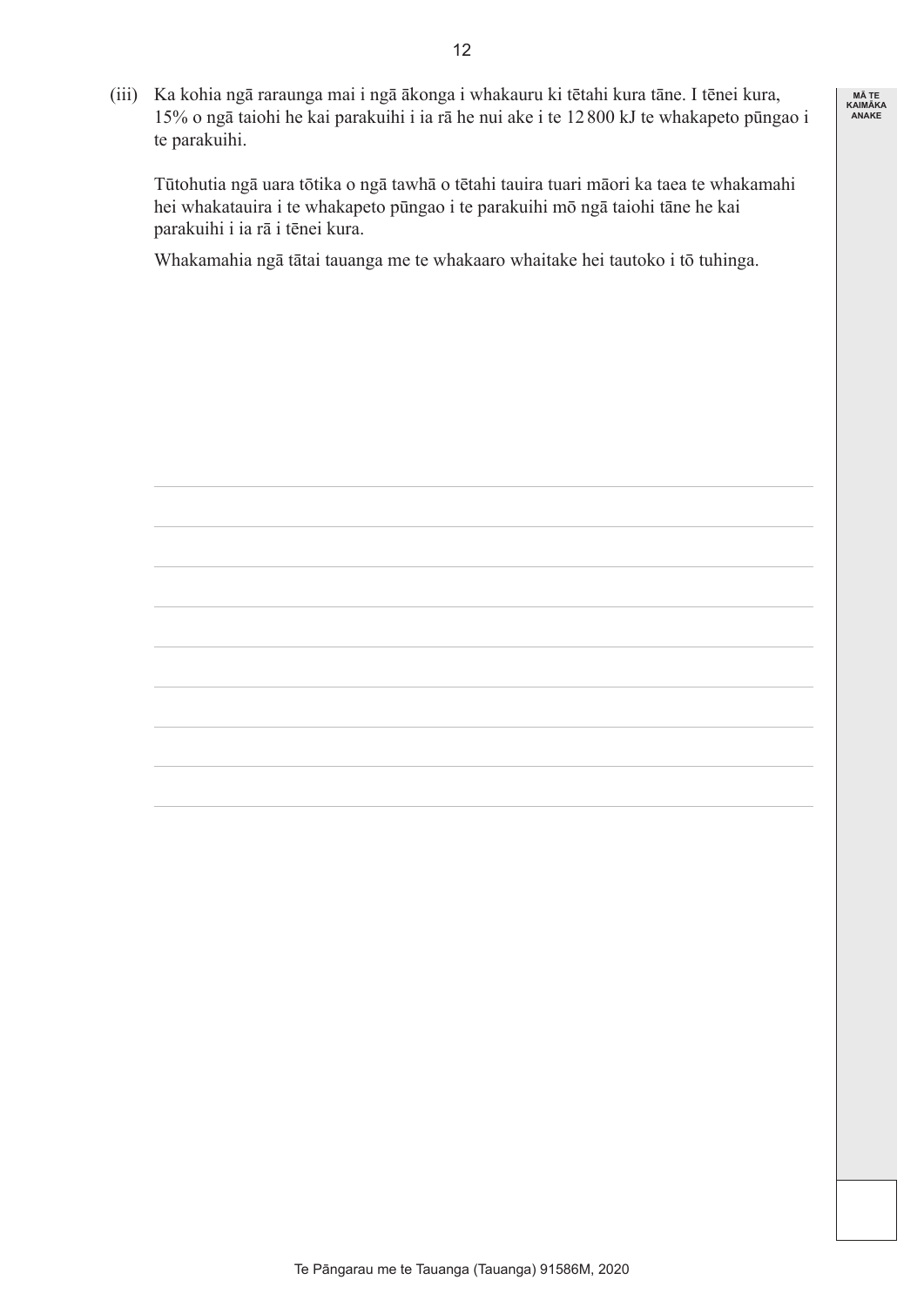(iii) Ka kohia ngā raraunga mai i ngā ākonga i whakauru ki tētahi kura tāne. I tēnei kura, 15% o ngā taiohi he kai parakuihi i ia rā he nui ake i te 12800 kJ te whakapeto pūngao i te parakuihi.

**MĀ TE KAIMĀKA ANAKE**

 Tūtohutia ngā uara tōtika o ngā tawhā o tētahi tauira tuari māori ka taea te whakamahi hei whakatauira i te whakapeto pūngao i te parakuihi mō ngā taiohi tāne he kai parakuihi i ia rā i tēnei kura.

 Whakamahia ngā tātai tauanga me te whakaaro whaitake hei tautoko i tō tuhinga.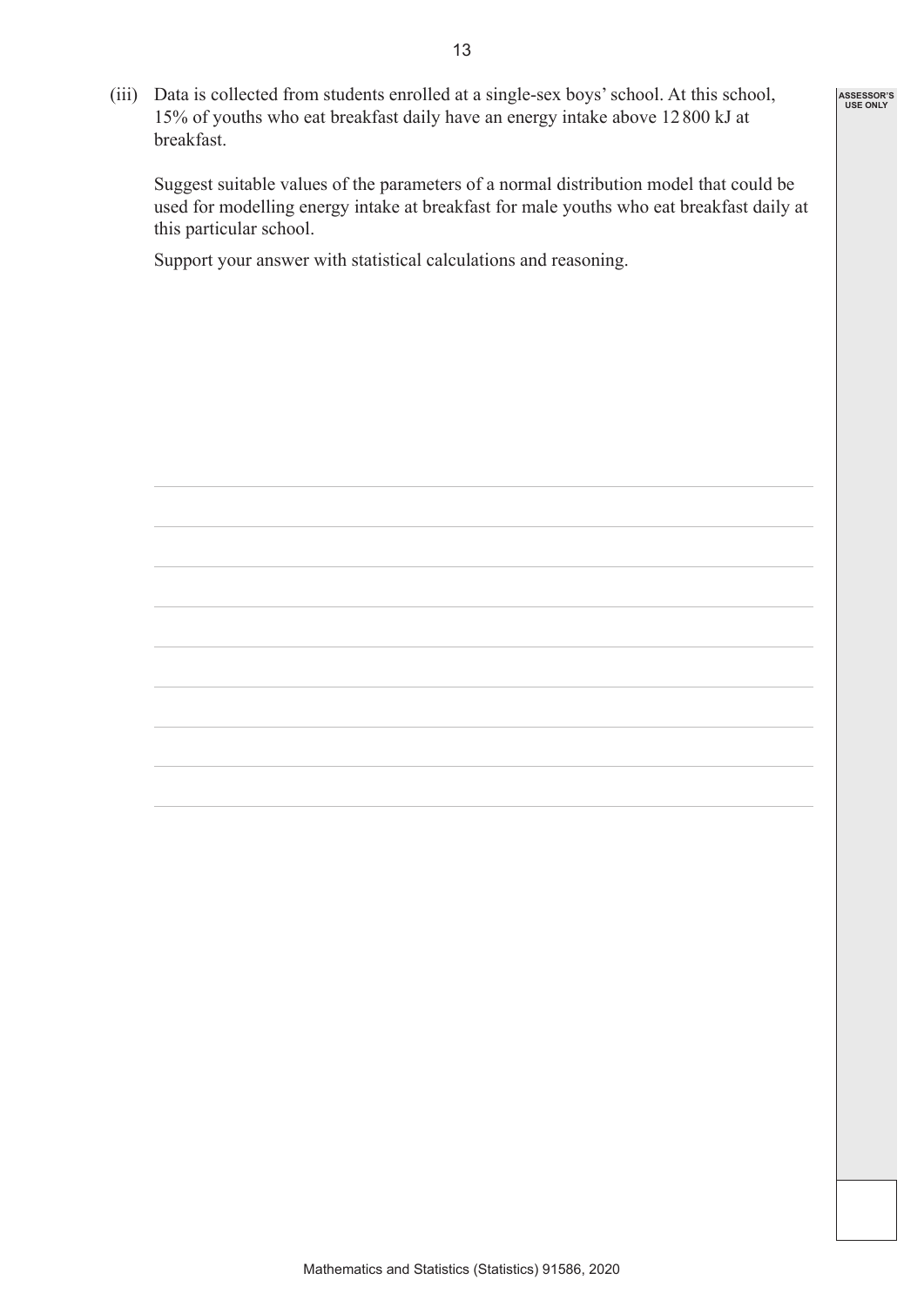(iii) Data is collected from students enrolled at a single-sex boys' school. At this school, 15% of youths who eat breakfast daily have an energy intake above 12800 kJ at breakfast.

 Suggest suitable values of the parameters of a normal distribution model that could be used for modelling energy intake at breakfast for male youths who eat breakfast daily at this particular school.

**ASSESSOR'S USE ONLY**

 Support your answer with statistical calculations and reasoning.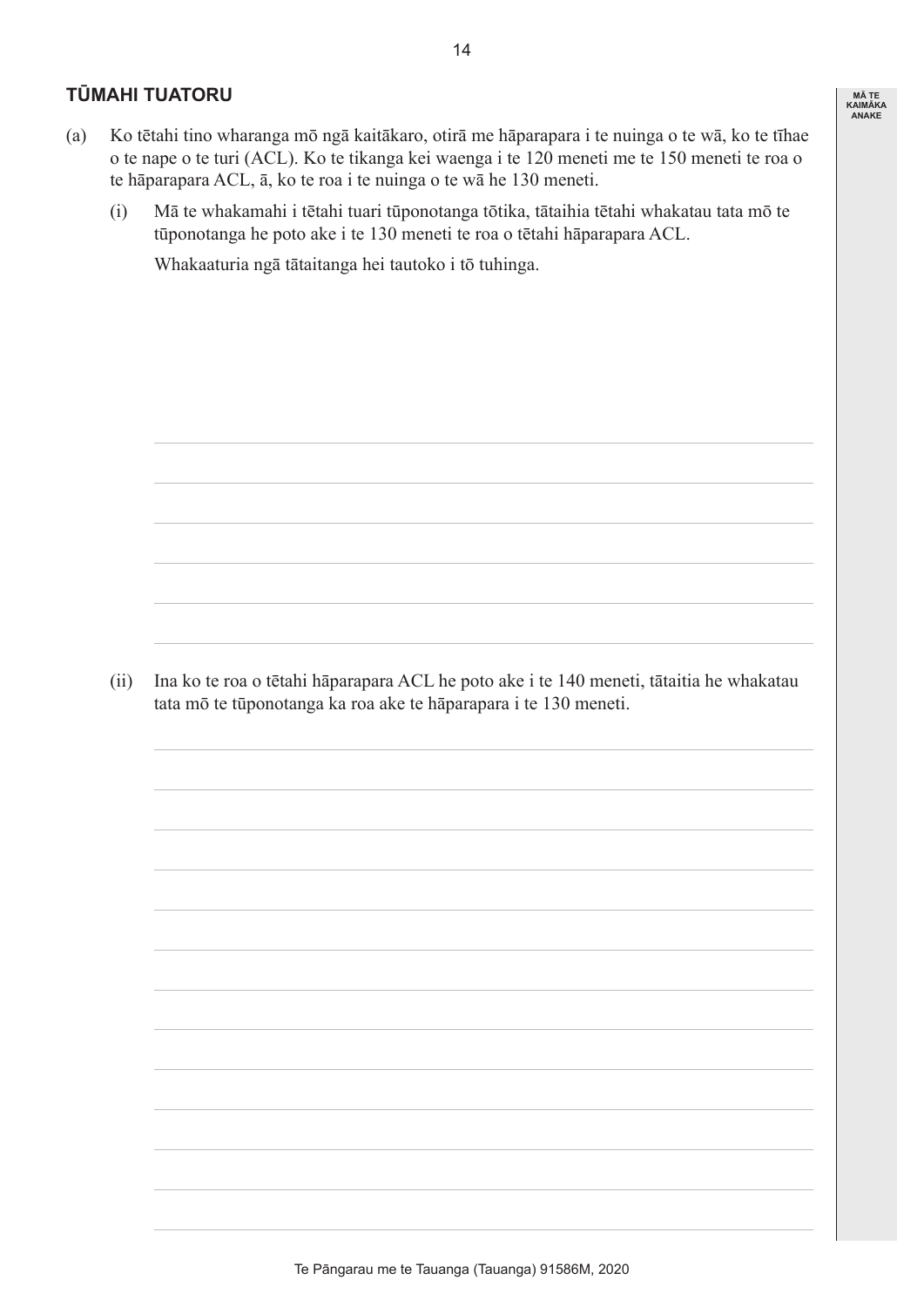#### **TŪMAHI TUATORU**

- (a) Ko tētahi tino wharanga mō ngā kaitākaro, otirā me hāparapara i te nuinga o te wā, ko te tīhae o te nape o te turi (ACL). Ko te tikanga kei waenga i te 120 meneti me te 150 meneti te roa o te hāparapara ACL, ā, ko te roa i te nuinga o te wā he 130 meneti.
	- (i) Mā te whakamahi i tētahi tuari tūponotanga tōtika, tātaihia tētahi whakatau tata mō te tūponotanga he poto ake i te 130 meneti te roa o tētahi hāparapara ACL.

 Whakaaturia ngā tātaitanga hei tautoko i tō tuhinga. 

 (ii) Ina ko te roa o tētahi hāparapara ACL he poto ake i te 140 meneti, tātaitia he whakatau tata mō te tūponotanga ka roa ake te hāparapara i te 130 meneti.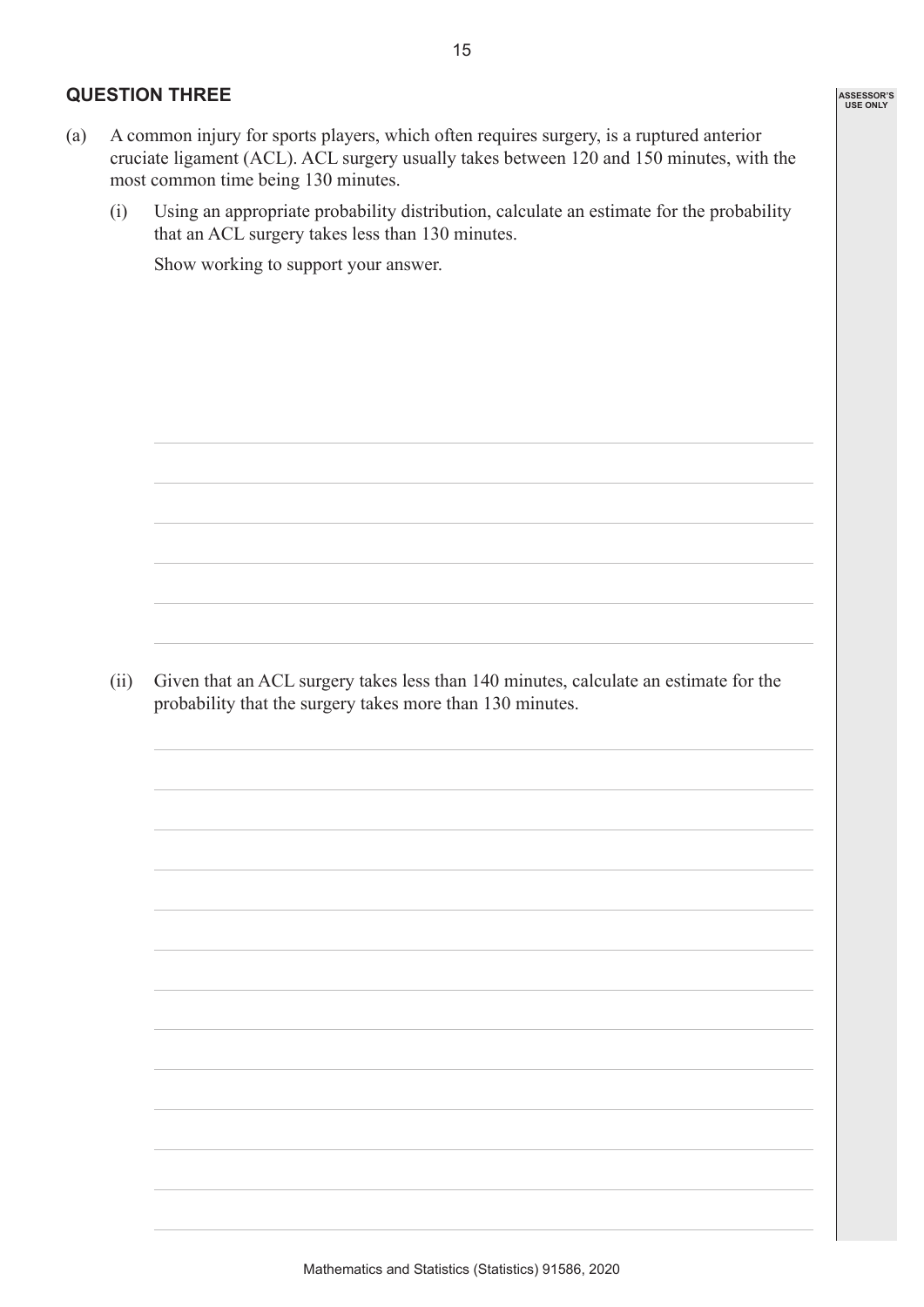#### **QUESTION THREE**

- (a) A common injury for sports players, which often requires surgery, is a ruptured anterior cruciate ligament (ACL). ACL surgery usually takes between 120 and 150 minutes, with the most common time being 130 minutes.
	- (i) Using an appropriate probability distribution, calculate an estimate for the probability that an ACL surgery takes less than 130 minutes.

 Show working to support your answer. 

 (ii) Given that an ACL surgery takes less than 140 minutes, calculate an estimate for the probability that the surgery takes more than 130 minutes.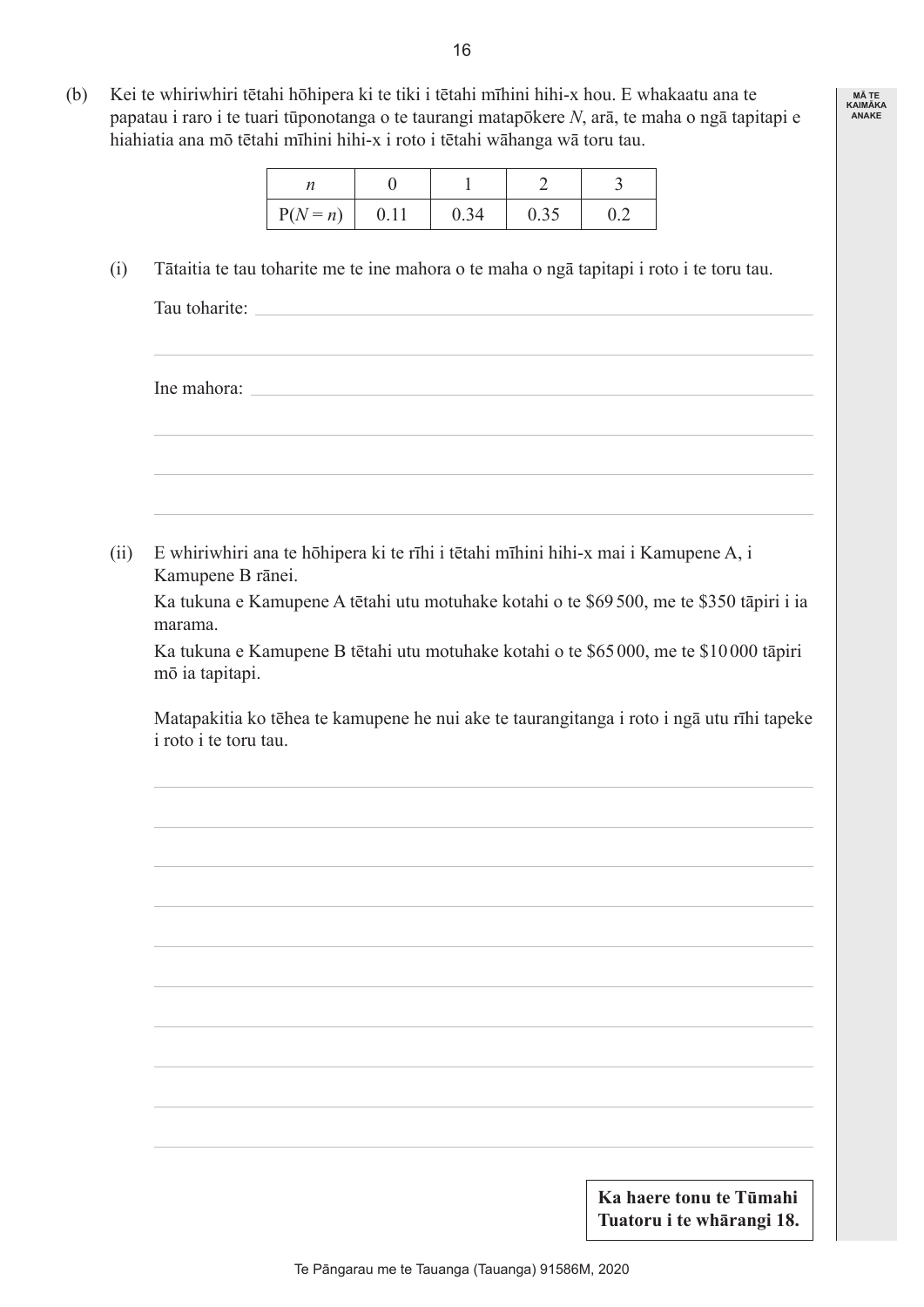(b) Kei te whiriwhiri tētahi hōhipera ki te tiki i tētahi mīhini hihi-x hou. E whakaatu ana te papatau i raro i te tuari tūponotanga o te taurangi matapōkere *N*, arā, te maha o ngā tapitapi e hiahiatia ana mō tētahi mīhini hihi-x i roto i tētahi wāhanga wā toru tau.

| $P(N = n)$ | 0.34 | 0.35 |  |
|------------|------|------|--|

 (i) Tātaitia te tau toharite me te ine mahora o te maha o ngā tapitapi i roto i te toru tau.

Tau toharite: Ine mahora: (ii) E whiriwhiri ana te hōhipera ki te rīhi i tētahi mīhini hihi-x mai i Kamupene A, i Kamupene B rānei. Ka tukuna e Kamupene A tētahi utu motuhake kotahi o te \$69500, me te \$350 tāpiri i ia marama. Ka tukuna e Kamupene B tētahi utu motuhake kotahi o te \$65000, me te \$10000 tāpiri mō ia tapitapi. Matapakitia ko tēhea te kamupene he nui ake te taurangitanga i roto i ngā utu rīhi tapeke i roto i te toru tau. **Ka haere tonu te Tūmahi** 

**MĀ TE KAIMĀKA ANAKE**

**Tuatoru i te whārangi 18.**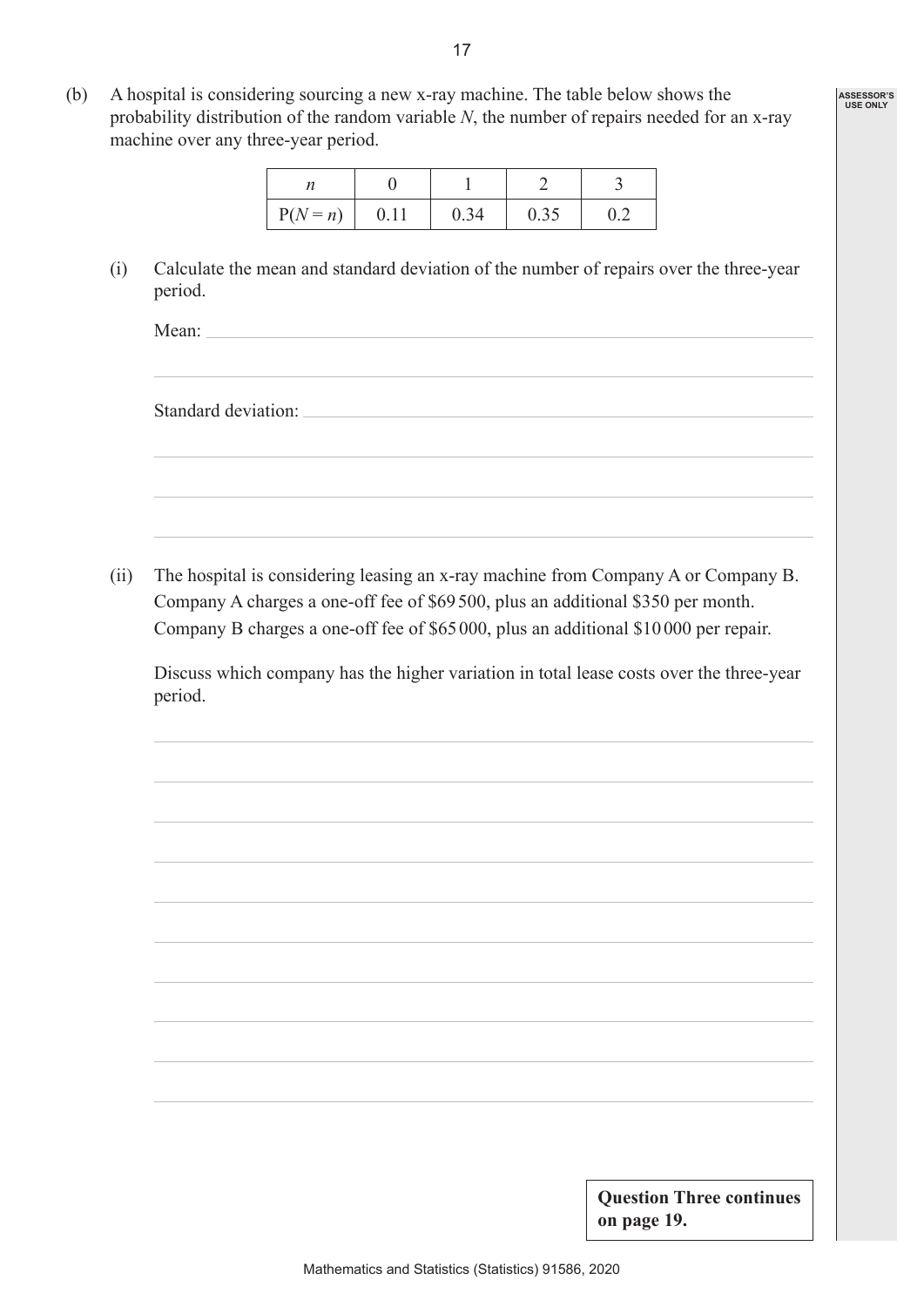(b) A hospital is considering sourcing a new x-ray machine. The table below shows the probability distribution of the random variable *N*, the number of repairs needed for an x-ray machine over any three-year period.

| $P(N = n)$ | 0.11 | 0.34 | 0.35 |  |
|------------|------|------|------|--|

 (i) Calculate the mean and standard deviation of the number of repairs over the three-year period.

Mean:

Standard deviation:

 (ii) The hospital is considering leasing an x-ray machine from Company A or Company B. Company A charges a one-off fee of \$69500, plus an additional \$350 per month. Company B charges a one-off fee of \$65000, plus an additional \$10000 per repair.

 Discuss which company has the higher variation in total lease costs over the three-year period.

> **Question Three continues on page 19.**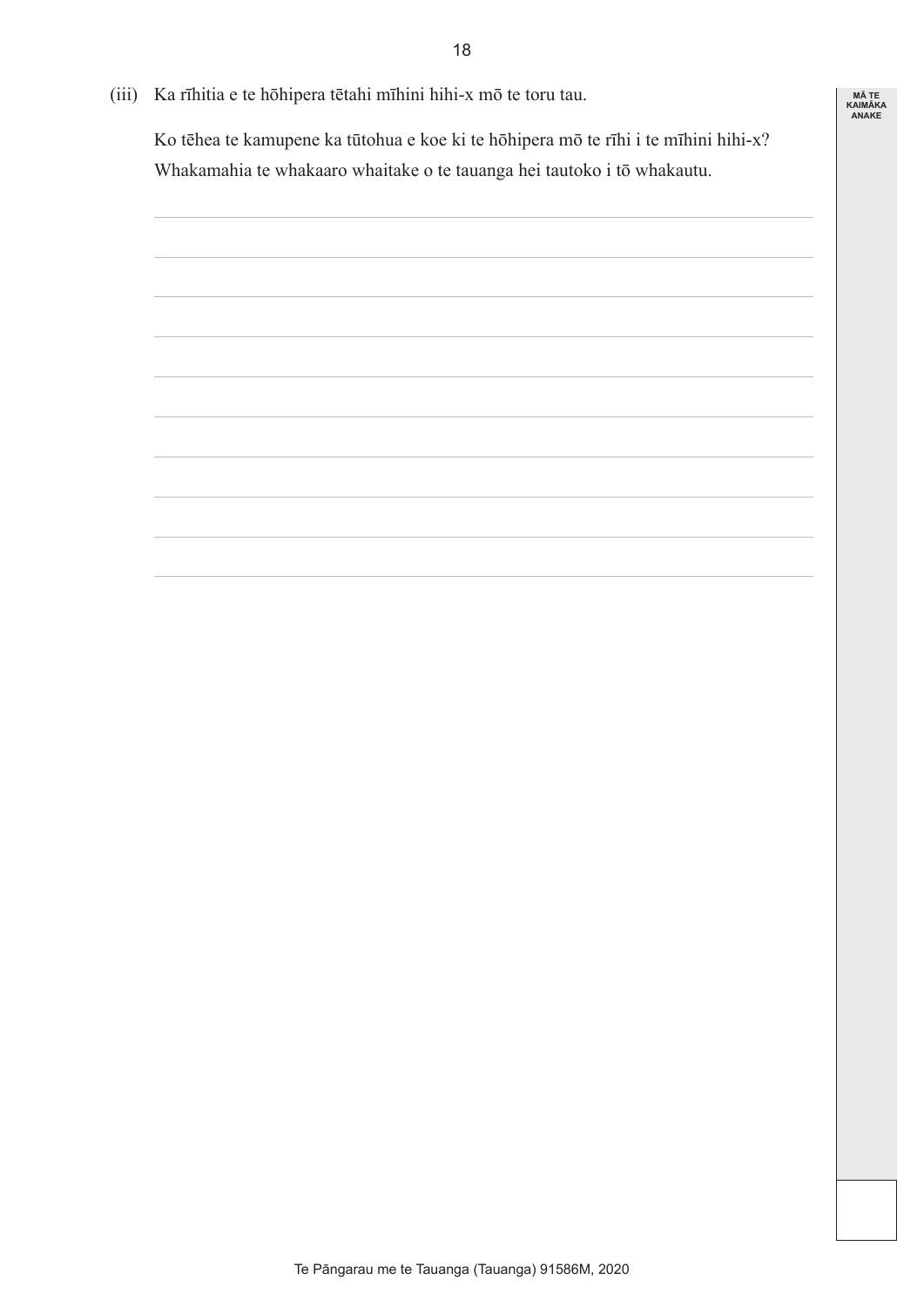(iii) Ka rīhitia e te hōhipera tētahi mīhini hihi-x mō te toru tau.

 Ko tēhea te kamupene ka tūtohua e koe ki te hōhipera mō te rīhi i te mīhini hihi-x? Whakamahia te whakaaro whaitake o te tauanga hei tautoko i tō whakautu.

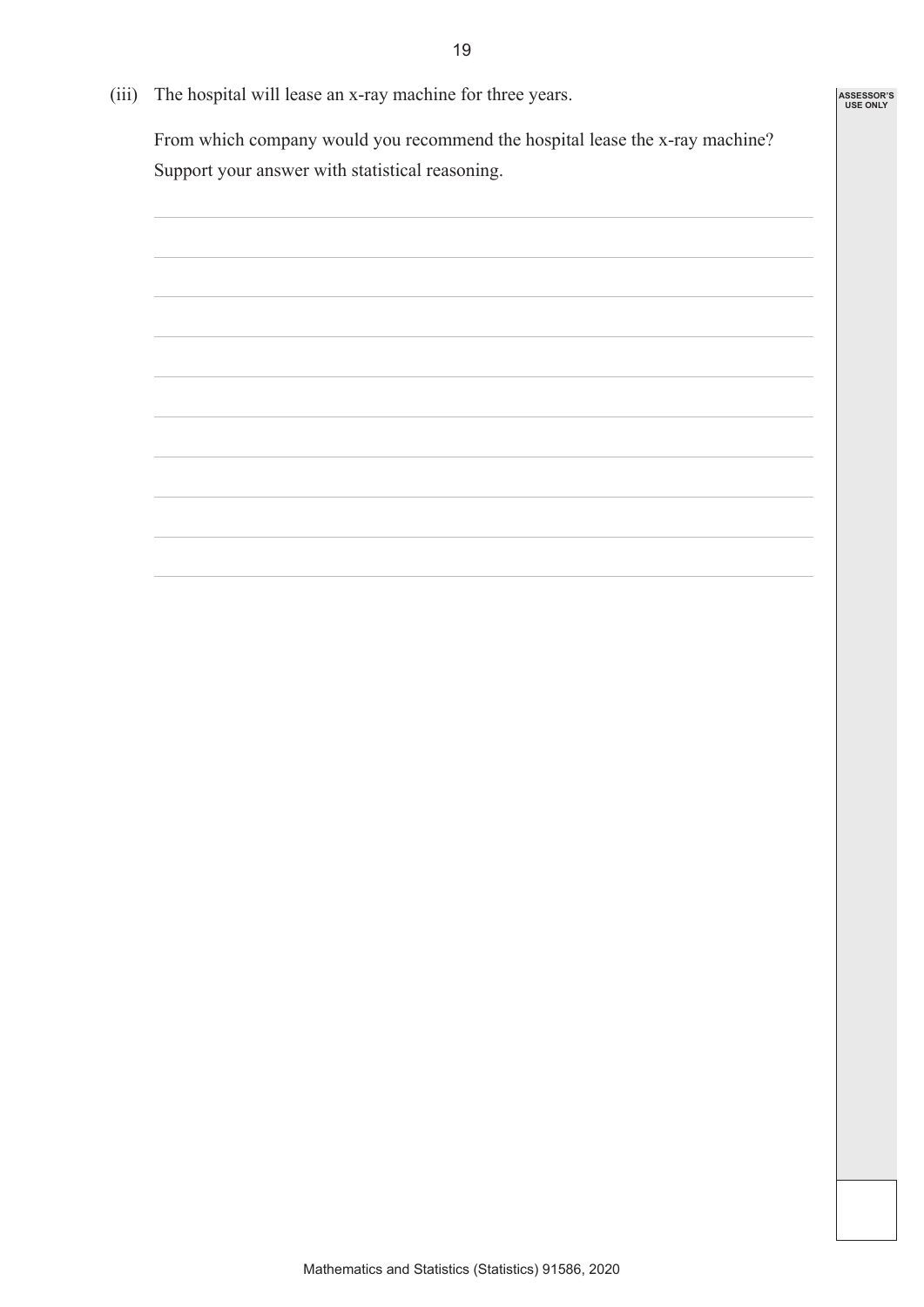(iii) The hospital will lease an x-ray machine for three years.

 From which company would you recommend the hospital lease the x-ray machine? Support your answer with statistical reasoning.

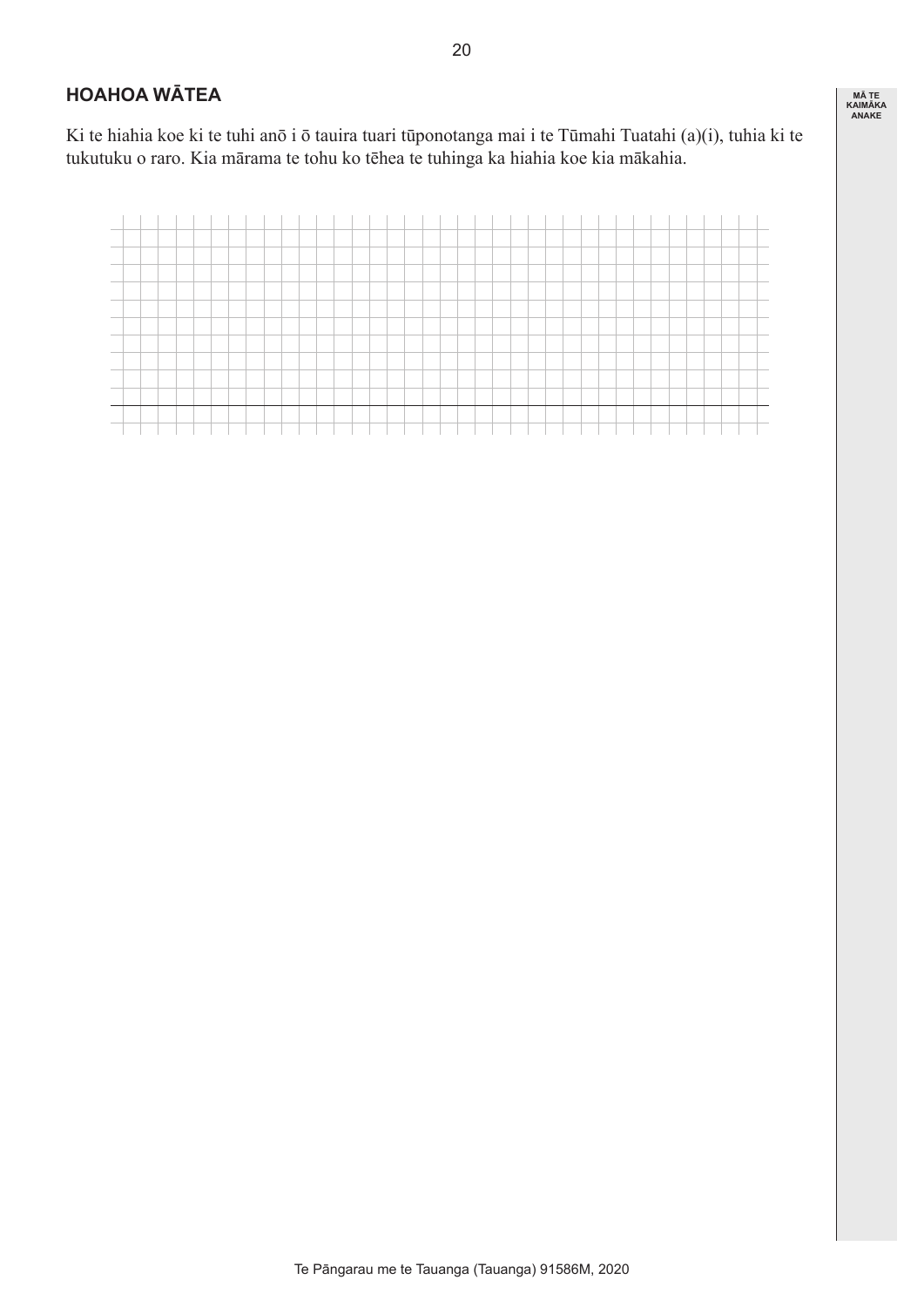### **HOAHOA WĀTEA**

Ki te hiahia koe ki te tuhi anō i ō tauira tuari tūponotanga mai i te Tūmahi Tuatahi (a)(i), tuhia ki te tukutuku o raro. Kia mārama te tohu ko tēhea te tuhinga ka hiahia koe kia mākahia.

| <b>Contract Contract Contract Contract</b> |  |  |  |  |  |  |  |  |  |  |  |  |  |  |  |  |  |  |
|--------------------------------------------|--|--|--|--|--|--|--|--|--|--|--|--|--|--|--|--|--|--|
|                                            |  |  |  |  |  |  |  |  |  |  |  |  |  |  |  |  |  |  |
|                                            |  |  |  |  |  |  |  |  |  |  |  |  |  |  |  |  |  |  |
|                                            |  |  |  |  |  |  |  |  |  |  |  |  |  |  |  |  |  |  |
|                                            |  |  |  |  |  |  |  |  |  |  |  |  |  |  |  |  |  |  |
|                                            |  |  |  |  |  |  |  |  |  |  |  |  |  |  |  |  |  |  |
| <b>Contract Contract Contract Contract</b> |  |  |  |  |  |  |  |  |  |  |  |  |  |  |  |  |  |  |
|                                            |  |  |  |  |  |  |  |  |  |  |  |  |  |  |  |  |  |  |
|                                            |  |  |  |  |  |  |  |  |  |  |  |  |  |  |  |  |  |  |
|                                            |  |  |  |  |  |  |  |  |  |  |  |  |  |  |  |  |  |  |
|                                            |  |  |  |  |  |  |  |  |  |  |  |  |  |  |  |  |  |  |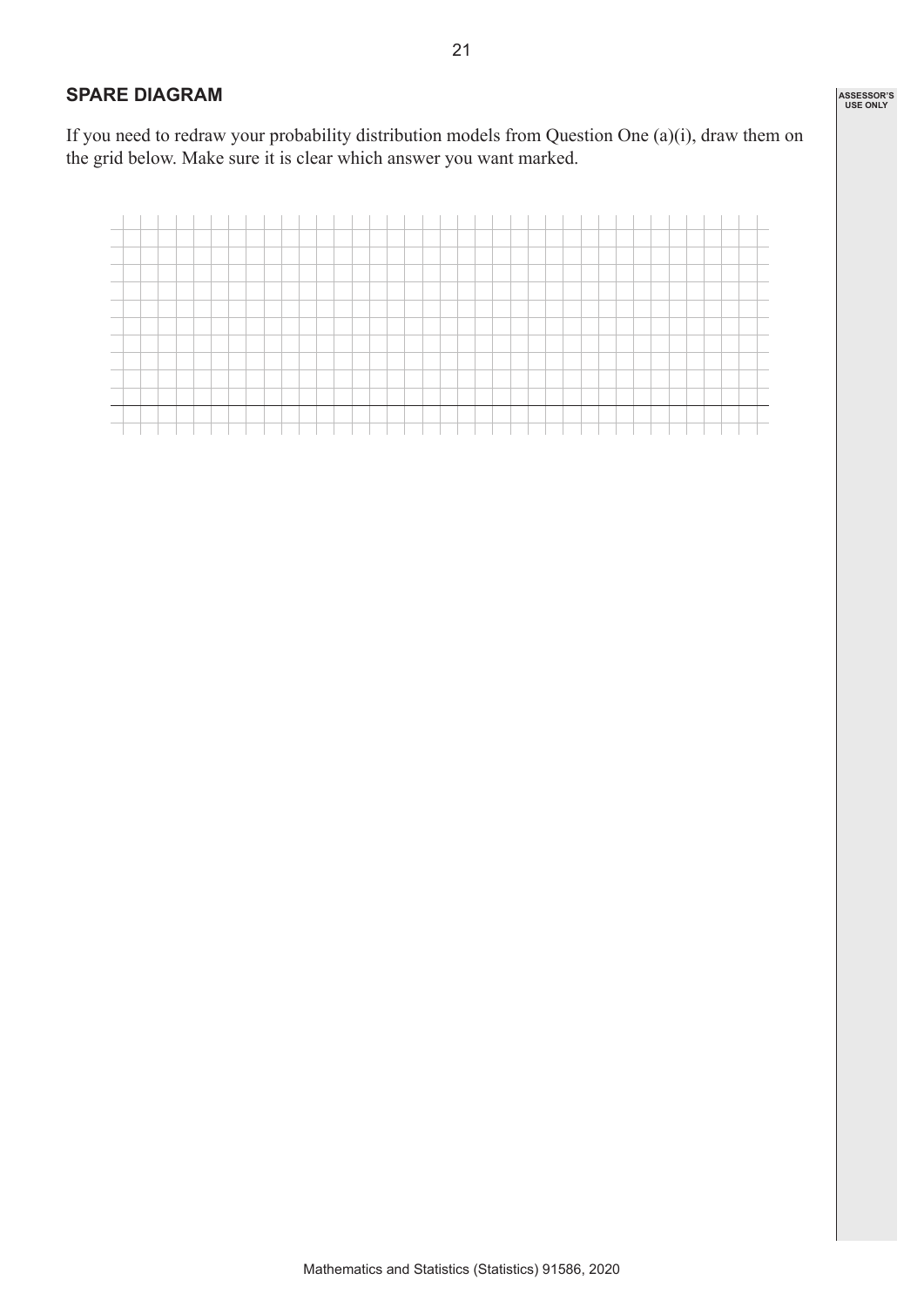#### **SPARE DIAGRAM**

If you need to redraw your probability distribution models from Question One (a)(i), draw them on the grid below. Make sure it is clear which answer you want marked.

| <b>Contract Contract</b> |  |  |  |  |  |  |  |  |  |  |  |  |  |  |  |  |  |
|--------------------------|--|--|--|--|--|--|--|--|--|--|--|--|--|--|--|--|--|
|                          |  |  |  |  |  |  |  |  |  |  |  |  |  |  |  |  |  |
|                          |  |  |  |  |  |  |  |  |  |  |  |  |  |  |  |  |  |
|                          |  |  |  |  |  |  |  |  |  |  |  |  |  |  |  |  |  |
|                          |  |  |  |  |  |  |  |  |  |  |  |  |  |  |  |  |  |
|                          |  |  |  |  |  |  |  |  |  |  |  |  |  |  |  |  |  |
|                          |  |  |  |  |  |  |  |  |  |  |  |  |  |  |  |  |  |
|                          |  |  |  |  |  |  |  |  |  |  |  |  |  |  |  |  |  |
|                          |  |  |  |  |  |  |  |  |  |  |  |  |  |  |  |  |  |
|                          |  |  |  |  |  |  |  |  |  |  |  |  |  |  |  |  |  |
|                          |  |  |  |  |  |  |  |  |  |  |  |  |  |  |  |  |  |
|                          |  |  |  |  |  |  |  |  |  |  |  |  |  |  |  |  |  |
|                          |  |  |  |  |  |  |  |  |  |  |  |  |  |  |  |  |  |
|                          |  |  |  |  |  |  |  |  |  |  |  |  |  |  |  |  |  |
|                          |  |  |  |  |  |  |  |  |  |  |  |  |  |  |  |  |  |
|                          |  |  |  |  |  |  |  |  |  |  |  |  |  |  |  |  |  |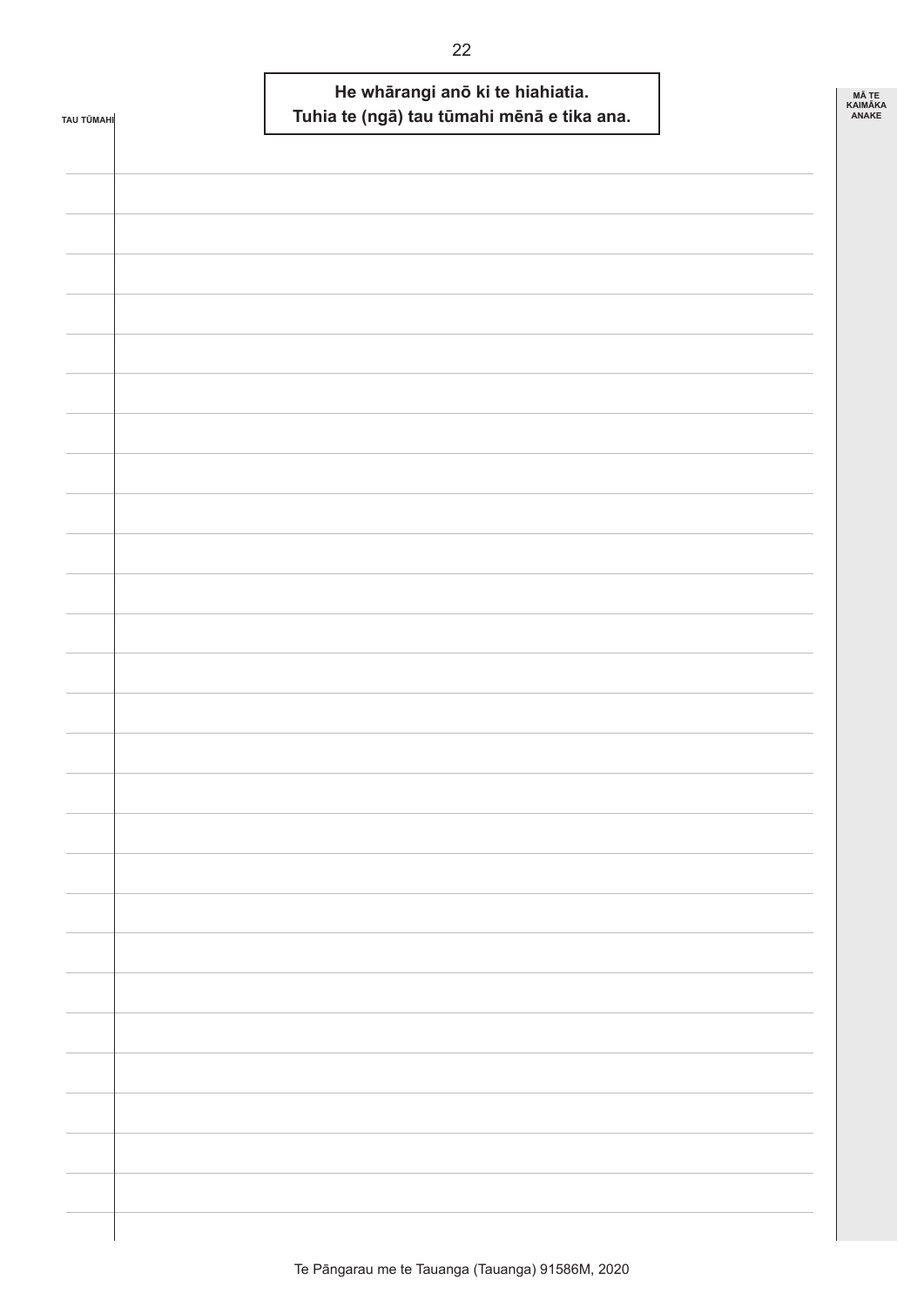| TAU TŪMAHI | He whārangi anō ki te hiahiatia.<br>Tuhia te (ngā) tau tūmahi mēnā e tika ana. | <b>MÃ TE</b><br><b>KAIMÄKA</b><br>ANAKE |
|------------|--------------------------------------------------------------------------------|-----------------------------------------|
|            |                                                                                |                                         |
|            |                                                                                |                                         |
|            |                                                                                |                                         |
|            |                                                                                |                                         |
|            |                                                                                |                                         |
|            |                                                                                |                                         |
|            |                                                                                |                                         |
|            |                                                                                |                                         |
|            |                                                                                |                                         |
|            |                                                                                |                                         |
|            |                                                                                |                                         |
|            |                                                                                |                                         |
|            |                                                                                |                                         |
|            |                                                                                |                                         |
|            |                                                                                |                                         |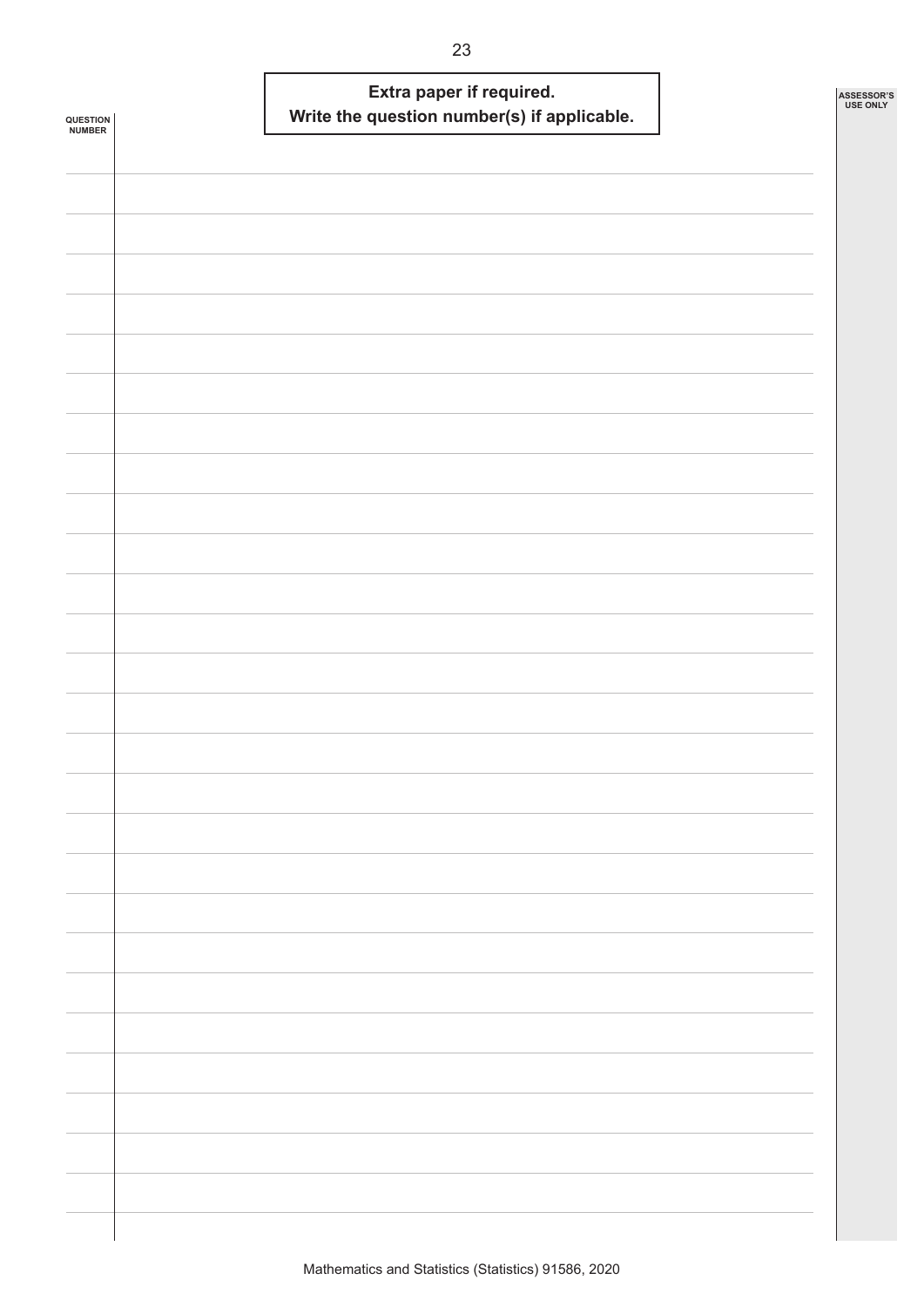| QUESTION<br><b>NUMBER</b> |  | Extra paper if required.<br>Write the question number(s) if applicable. |  | ASSESSOR'S<br><b>USE ONLY</b> |
|---------------------------|--|-------------------------------------------------------------------------|--|-------------------------------|
|                           |  |                                                                         |  |                               |
|                           |  |                                                                         |  |                               |
|                           |  |                                                                         |  |                               |
|                           |  |                                                                         |  |                               |
|                           |  |                                                                         |  |                               |
|                           |  |                                                                         |  |                               |
|                           |  |                                                                         |  |                               |
|                           |  |                                                                         |  |                               |
|                           |  |                                                                         |  |                               |
|                           |  |                                                                         |  |                               |
|                           |  |                                                                         |  |                               |
|                           |  |                                                                         |  |                               |
|                           |  |                                                                         |  |                               |
|                           |  |                                                                         |  |                               |
|                           |  |                                                                         |  |                               |
|                           |  |                                                                         |  |                               |
|                           |  |                                                                         |  |                               |
|                           |  |                                                                         |  |                               |
|                           |  |                                                                         |  |                               |
|                           |  |                                                                         |  |                               |
|                           |  |                                                                         |  |                               |
|                           |  |                                                                         |  |                               |
|                           |  |                                                                         |  |                               |
|                           |  |                                                                         |  |                               |
|                           |  |                                                                         |  |                               |
|                           |  |                                                                         |  |                               |